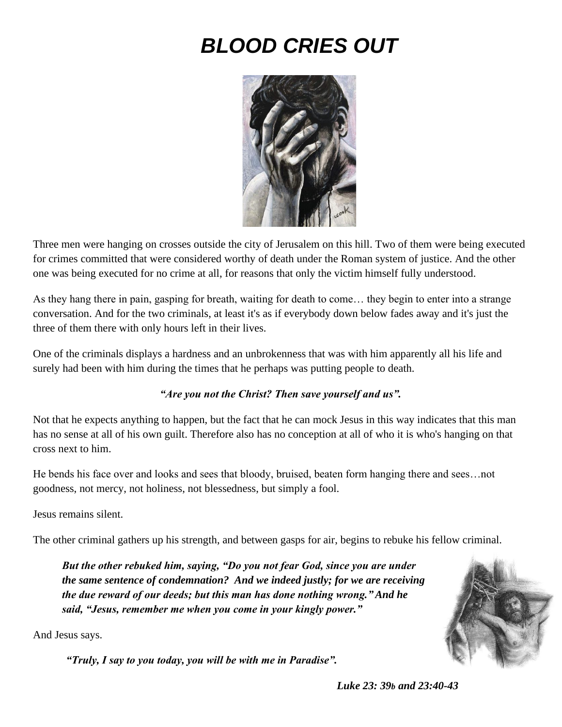# *BLOOD CRIES OUT*



Three men were hanging on crosses outside the city of Jerusalem on this hill. Two of them were being executed for crimes committed that were considered worthy of death under the Roman system of justice. And the other one was being executed for no crime at all, for reasons that only the victim himself fully understood.

As they hang there in pain, gasping for breath, waiting for death to come… they begin to enter into a strange conversation. And for the two criminals, at least it's as if everybody down below fades away and it's just the three of them there with only hours left in their lives.

One of the criminals displays a hardness and an unbrokenness that was with him apparently all his life and surely had been with him during the times that he perhaps was putting people to death.

## *"Are you not the Christ? Then save yourself and us".*

Not that he expects anything to happen, but the fact that he can mock Jesus in this way indicates that this man has no sense at all of his own guilt. Therefore also has no conception at all of who it is who's hanging on that cross next to him.

He bends his face over and looks and sees that bloody, bruised, beaten form hanging there and sees…not goodness, not mercy, not holiness, not blessedness, but simply a fool.

Jesus remains silent.

The other criminal gathers up his strength, and between gasps for air, begins to rebuke his fellow criminal.

*But the other rebuked him, saying, "Do you not fear God, since you are under the same sentence of condemnation? And we indeed justly; for we are receiving the due reward of our deeds; but this man has done nothing wrong." And he said, "Jesus, remember me when you come in your kingly power."*

And Jesus says.

*"Truly, I say to you today, you will be with me in Paradise".*



*Luke 23: 39b and 23:40-43*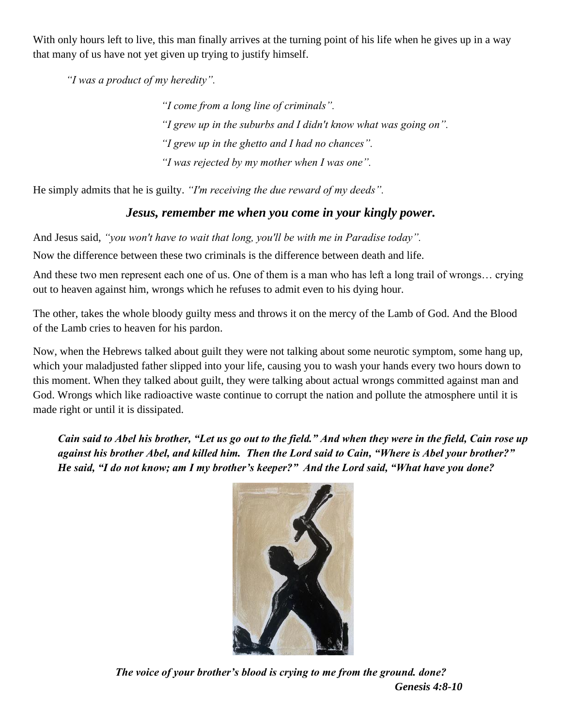With only hours left to live, this man finally arrives at the turning point of his life when he gives up in a way that many of us have not yet given up trying to justify himself.

*"I was a product of my heredity".*

*"I come from a long line of criminals". "I grew up in the suburbs and I didn't know what was going on". "I grew up in the ghetto and I had no chances". "I was rejected by my mother when I was one".*

He simply admits that he is guilty. *"I'm receiving the due reward of my deeds".*

# *Jesus, remember me when you come in your kingly power.*

And Jesus said, *"you won't have to wait that long, you'll be with me in Paradise today".*

Now the difference between these two criminals is the difference between death and life.

And these two men represent each one of us. One of them is a man who has left a long trail of wrongs… crying out to heaven against him, wrongs which he refuses to admit even to his dying hour.

The other, takes the whole bloody guilty mess and throws it on the mercy of the Lamb of God. And the Blood of the Lamb cries to heaven for his pardon.

Now, when the Hebrews talked about guilt they were not talking about some neurotic symptom, some hang up, which your maladjusted father slipped into your life, causing you to wash your hands every two hours down to this moment. When they talked about guilt, they were talking about actual wrongs committed against man and God. Wrongs which like radioactive waste continue to corrupt the nation and pollute the atmosphere until it is made right or until it is dissipated.

*Cain said to Abel his brother, "Let us go out to the field." And when they were in the field, Cain rose up against his brother Abel, and killed him. Then the Lord said to Cain, "Where is Abel your brother?" He said, "I do not know; am I my brother's keeper?" And the Lord said, "What have you done?*



*The voice of your brother's blood is crying to me from the ground. done? Genesis 4:8-10*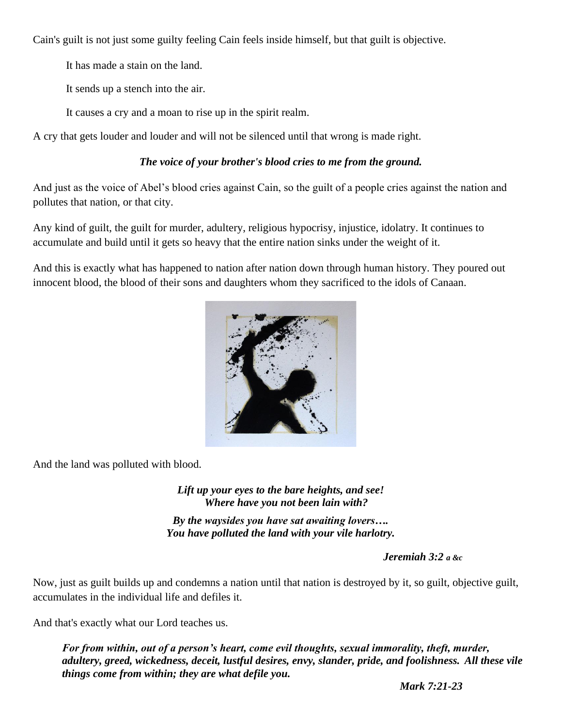Cain's guilt is not just some guilty feeling Cain feels inside himself, but that guilt is objective.

It has made a stain on the land.

It sends up a stench into the air.

It causes a cry and a moan to rise up in the spirit realm.

A cry that gets louder and louder and will not be silenced until that wrong is made right.

## *The voice of your brother's blood cries to me from the ground.*

And just as the voice of Abel's blood cries against Cain, so the guilt of a people cries against the nation and pollutes that nation, or that city.

Any kind of guilt, the guilt for murder, adultery, religious hypocrisy, injustice, idolatry. It continues to accumulate and build until it gets so heavy that the entire nation sinks under the weight of it.

And this is exactly what has happened to nation after nation down through human history. They poured out innocent blood, the blood of their sons and daughters whom they sacrificed to the idols of Canaan.



And the land was polluted with blood.

*Lift up your eyes to the bare heights, and see! Where have you not been lain with?*

*By the waysides you have sat awaiting lovers…. You have polluted the land with your vile harlotry.*

*Jeremiah 3:2 a &c*

Now, just as guilt builds up and condemns a nation until that nation is destroyed by it, so guilt, objective guilt, accumulates in the individual life and defiles it.

And that's exactly what our Lord teaches us.

*For from within, out of a person's heart, come evil thoughts, sexual immorality, theft, murder, adultery, greed, wickedness, deceit, lustful desires, envy, slander, pride, and foolishness. All these vile things come from within; they are what defile you.*

*Mark 7:21-23*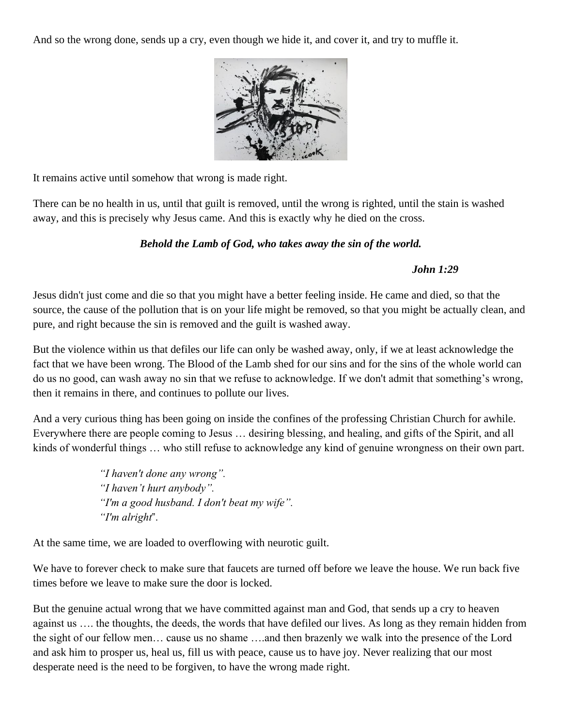And so the wrong done, sends up a cry, even though we hide it, and cover it, and try to muffle it.



It remains active until somehow that wrong is made right.

There can be no health in us, until that guilt is removed, until the wrong is righted, until the stain is washed away, and this is precisely why Jesus came. And this is exactly why he died on the cross.

## *Behold the Lamb of God, who takes away the sin of the world.*

## *John 1:29*

Jesus didn't just come and die so that you might have a better feeling inside. He came and died, so that the source, the cause of the pollution that is on your life might be removed, so that you might be actually clean, and pure, and right because the sin is removed and the guilt is washed away.

But the violence within us that defiles our life can only be washed away, only, if we at least acknowledge the fact that we have been wrong. The Blood of the Lamb shed for our sins and for the sins of the whole world can do us no good, can wash away no sin that we refuse to acknowledge. If we don't admit that something's wrong, then it remains in there, and continues to pollute our lives.

And a very curious thing has been going on inside the confines of the professing Christian Church for awhile. Everywhere there are people coming to Jesus … desiring blessing, and healing, and gifts of the Spirit, and all kinds of wonderful things … who still refuse to acknowledge any kind of genuine wrongness on their own part.

> *"I haven't done any wrong". "I haven't hurt anybody". "I'm a good husband. I don't beat my wife". "I'm alright*".

At the same time, we are loaded to overflowing with neurotic guilt.

We have to forever check to make sure that faucets are turned off before we leave the house. We run back five times before we leave to make sure the door is locked.

But the genuine actual wrong that we have committed against man and God, that sends up a cry to heaven against us …. the thoughts, the deeds, the words that have defiled our lives. As long as they remain hidden from the sight of our fellow men… cause us no shame ….and then brazenly we walk into the presence of the Lord and ask him to prosper us, heal us, fill us with peace, cause us to have joy. Never realizing that our most desperate need is the need to be forgiven, to have the wrong made right.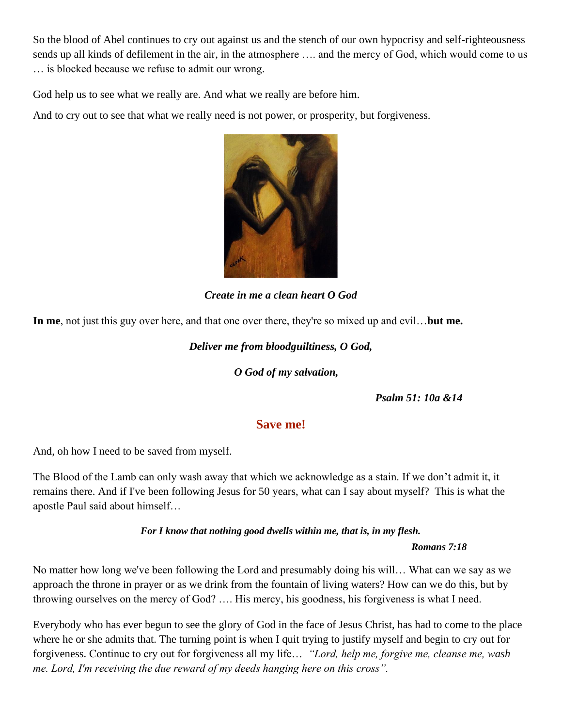So the blood of Abel continues to cry out against us and the stench of our own hypocrisy and self-righteousness sends up all kinds of defilement in the air, in the atmosphere …. and the mercy of God, which would come to us … is blocked because we refuse to admit our wrong.

God help us to see what we really are. And what we really are before him.

And to cry out to see that what we really need is not power, or prosperity, but forgiveness.



*Create in me a clean heart O God*

**In me**, not just this guy over here, and that one over there, they're so mixed up and evil…**but me.**

# *Deliver me from bloodguiltiness, O God,*

 *O God of my salvation,*

*Psalm 51: 10a &14*

# **Save me!**

And, oh how I need to be saved from myself.

The Blood of the Lamb can only wash away that which we acknowledge as a stain. If we don't admit it, it remains there. And if I've been following Jesus for 50 years, what can I say about myself? This is what the apostle Paul said about himself…

## *For I know that nothing good dwells within me, that is, in my flesh.*

#### *Romans 7:18*

No matter how long we've been following the Lord and presumably doing his will… What can we say as we approach the throne in prayer or as we drink from the fountain of living waters? How can we do this, but by throwing ourselves on the mercy of God? …. His mercy, his goodness, his forgiveness is what I need.

Everybody who has ever begun to see the glory of God in the face of Jesus Christ, has had to come to the place where he or she admits that. The turning point is when I quit trying to justify myself and begin to cry out for forgiveness. Continue to cry out for forgiveness all my life… *"Lord, help me, forgive me, cleanse me, wash me. Lord, I'm receiving the due reward of my deeds hanging here on this cross".*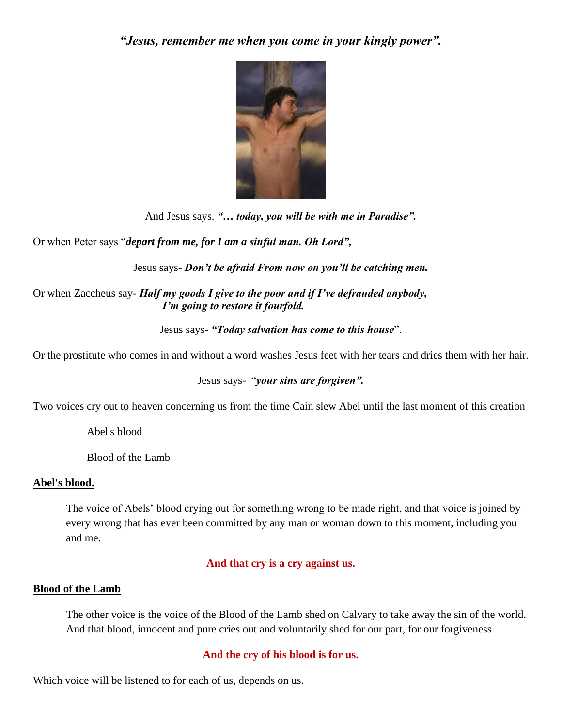*"Jesus, remember me when you come in your kingly power".*



And Jesus says. *"… today, you will be with me in Paradise".*

Or when Peter says "*depart from me, for I am a sinful man. Oh Lord",*

Jesus says- *Don't be afraid From now on you'll be catching men.*

Or when Zaccheus say- *Half my goods I give to the poor and if I've defrauded anybody, I'm going to restore it fourfold.*

Jesus says- *"Today salvation has come to this house*".

Or the prostitute who comes in and without a word washes Jesus feet with her tears and dries them with her hair.

Jesus says- "*your sins are forgiven".*

Two voices cry out to heaven concerning us from the time Cain slew Abel until the last moment of this creation

Abel's blood

Blood of the Lamb

## **Abel's blood.**

The voice of Abels' blood crying out for something wrong to be made right, and that voice is joined by every wrong that has ever been committed by any man or woman down to this moment, including you and me.

## **And that cry is a cry against us.**

## **Blood of the Lamb**

The other voice is the voice of the Blood of the Lamb shed on Calvary to take away the sin of the world. And that blood, innocent and pure cries out and voluntarily shed for our part, for our forgiveness.

## **And the cry of his blood is for us.**

Which voice will be listened to for each of us, depends on us.